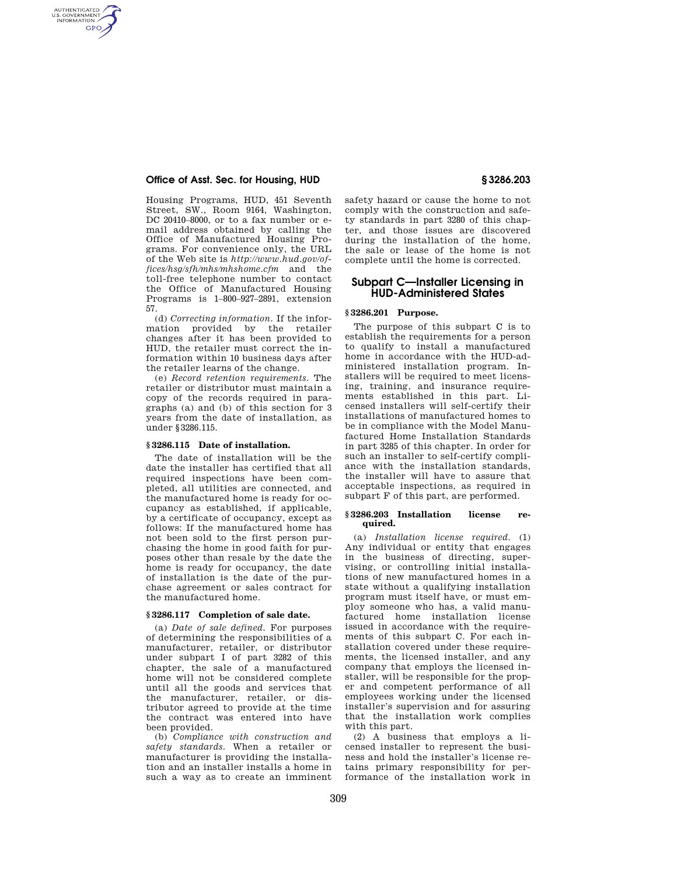## **Office of Asst. Sec. for Housing, HUD § 3286.203**

AUTHENTICATED<br>U.S. GOVERNMENT<br>INFORMATION **GPO** 

> Housing Programs, HUD, 451 Seventh Street, SW., Room 9164, Washington, DC 20410–8000, or to a fax number or email address obtained by calling the Office of Manufactured Housing Programs. For convenience only, the URL of the Web site is *http://www.hud.gov/offices/hsg/sfh/mhs/mhshome.cfm* and the toll-free telephone number to contact the Office of Manufactured Housing Programs is 1–800–927–2891, extension 57.

> (d) *Correcting information.* If the information provided by the retailer changes after it has been provided to HUD, the retailer must correct the information within 10 business days after the retailer learns of the change.

> (e) *Record retention requirements.* The retailer or distributor must maintain a copy of the records required in paragraphs (a) and (b) of this section for 3 years from the date of installation, as under §3286.115.

### **§ 3286.115 Date of installation.**

The date of installation will be the date the installer has certified that all required inspections have been completed, all utilities are connected, and the manufactured home is ready for occupancy as established, if applicable, by a certificate of occupancy, except as follows: If the manufactured home has not been sold to the first person purchasing the home in good faith for purposes other than resale by the date the home is ready for occupancy, the date of installation is the date of the purchase agreement or sales contract for the manufactured home.

## **§ 3286.117 Completion of sale date.**

(a) *Date of sale defined.* For purposes of determining the responsibilities of a manufacturer, retailer, or distributor under subpart I of part 3282 of this chapter, the sale of a manufactured home will not be considered complete until all the goods and services that the manufacturer, retailer, or distributor agreed to provide at the time the contract was entered into have been provided.

(b) *Compliance with construction and safety standards.* When a retailer or manufacturer is providing the installation and an installer installs a home in such a way as to create an imminent safety hazard or cause the home to not comply with the construction and safety standards in part 3280 of this chapter, and those issues are discovered during the installation of the home, the sale or lease of the home is not complete until the home is corrected.

# **Subpart C—Installer Licensing in HUD-Administered States**

### **§ 3286.201 Purpose.**

The purpose of this subpart C is to establish the requirements for a person to qualify to install a manufactured home in accordance with the HUD-administered installation program. Installers will be required to meet licensing, training, and insurance requirements established in this part. Licensed installers will self-certify their installations of manufactured homes to be in compliance with the Model Manufactured Home Installation Standards in part 3285 of this chapter. In order for such an installer to self-certify compliance with the installation standards, the installer will have to assure that acceptable inspections, as required in subpart F of this part, are performed.

### **§ 3286.203 Installation license required.**

(a) *Installation license required.* (1) Any individual or entity that engages in the business of directing, supervising, or controlling initial installations of new manufactured homes in a state without a qualifying installation program must itself have, or must employ someone who has, a valid manufactured home installation license issued in accordance with the requirements of this subpart C. For each installation covered under these requirements, the licensed installer, and any company that employs the licensed installer, will be responsible for the proper and competent performance of all employees working under the licensed installer's supervision and for assuring that the installation work complies with this part.

(2) A business that employs a licensed installer to represent the business and hold the installer's license retains primary responsibility for performance of the installation work in